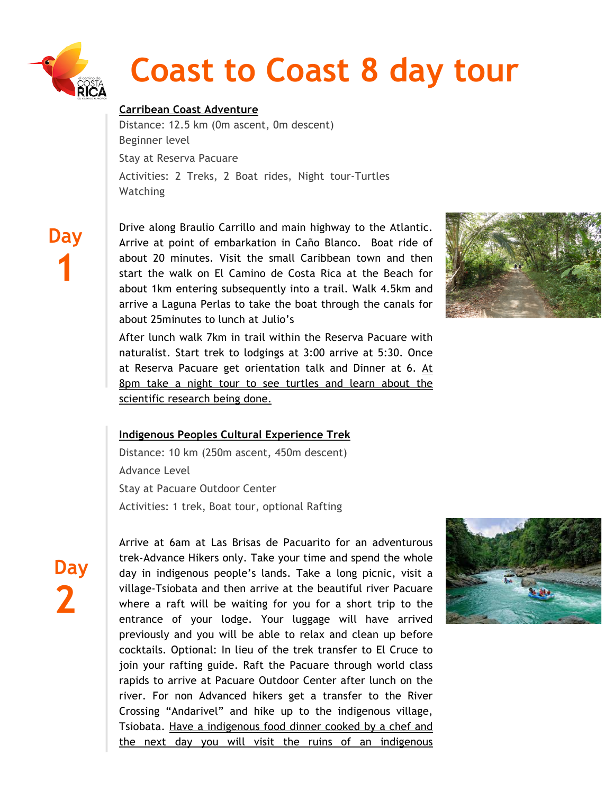

# **Coast to Coast 8 day tour**

# **Carribean Coast Adventure**

Distance: 12.5 km (0m ascent, 0m descent) Beginner level Stay at Reserva Pacuare Activities: 2 Treks, 2 Boat rides, Night tour-Turtles **Watching** 

 **Day 1**

Drive along Braulio Carrillo and main highway to the Atlantic. Arrive at point of embarkation in Caño Blanco. Boat ride of about 20 minutes. Visit the small Caribbean town and then start the walk on El Camino de Costa Rica at the Beach for about 1km entering subsequently into a trail. Walk 4.5km and arrive a Laguna Perlas to take the boat through the canals for about 25minutes to lunch at Julio's



After lunch walk 7km in trail within the Reserva Pacuare with naturalist. Start trek to lodgings at 3:00 arrive at 5:30. Once at Reserva Pacuare get orientation talk and Dinner at 6. At 8pm take a night tour to see turtles and learn about the scientific research being done.

## **Indigenous Peoples Cultural Experience Trek**

Distance: 10 km (250m ascent, 450m descent) Advance Level Stay at Pacuare Outdoor Center Activities: 1 trek, Boat tour, optional Rafting



Arrive at 6am at Las Brisas de Pacuarito for an adventurous trek-Advance Hikers only. Take your time and spend the whole day in indigenous people's lands. Take a long picnic, visit a village-Tsiobata and then arrive at the beautiful river Pacuare where a raft will be waiting for you for a short trip to the entrance of your lodge. Your luggage will have arrived previously and you will be able to relax and clean up before cocktails. Optional: In lieu of the trek transfer to El Cruce to join your rafting guide. Raft the Pacuare through world class rapids to arrive at Pacuare Outdoor Center after lunch on the river. For non Advanced hikers get a transfer to the River Crossing "Andarivel" and hike up to the indigenous village, Tsiobata. Have a indigenous food dinner cooked by a chef and the next day you will visit the ruins of an indigenous

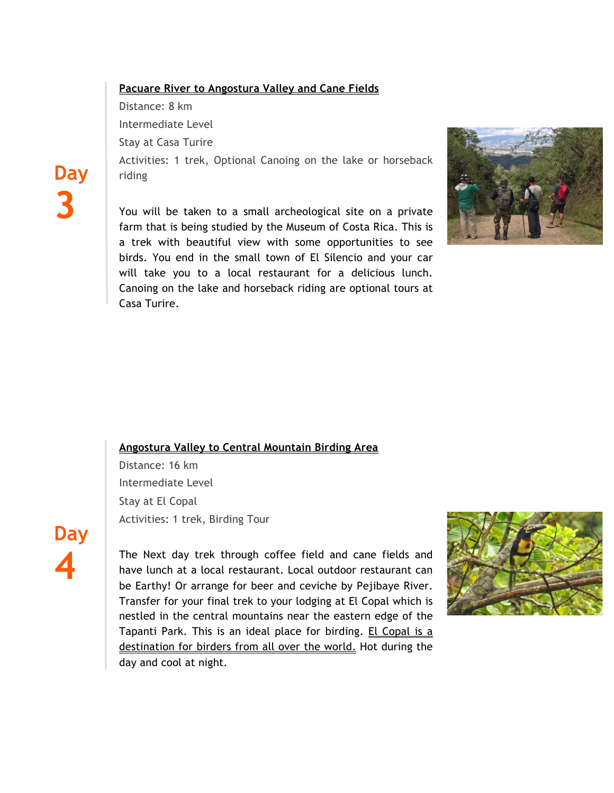## **Pacuare River to Angostura Valley and Cane Fields**

Distance: 8 km

Intermediate Level

Stay at Casa Turire

Activities: 1 trek, Optional Canoing on the lake or horseback riding

You will be taken to a small archeological site on a private farm that is being studied by the Museum of Costa Rica. This is a trek with beautiful view with some opportunities to see birds. You end in the small town of El Silencio and your car will take you to a local restaurant for a delicious lunch. Canoing on the lake and horseback riding are optional tours at Casa Turire.



#### **Angostura Valley to Central Mountain Birding Area**

Distance: 16 km Intermediate Level Stay at El Copal Activities: 1 trek, Birding Tour

**Day 4**

**Day**

**3**

The Next day trek through coffee field and cane fields and have lunch at a local restaurant. Local outdoor restaurant can be Earthy! Or arrange for beer and ceviche by Pejibaye River. Transfer for your final trek to your lodging at El Copal which is nestled in the central mountains near the eastern edge of the Tapanti Park. This is an ideal place for birding. El Copal is a destination for birders from all over the world. Hot during the day and cool at night.

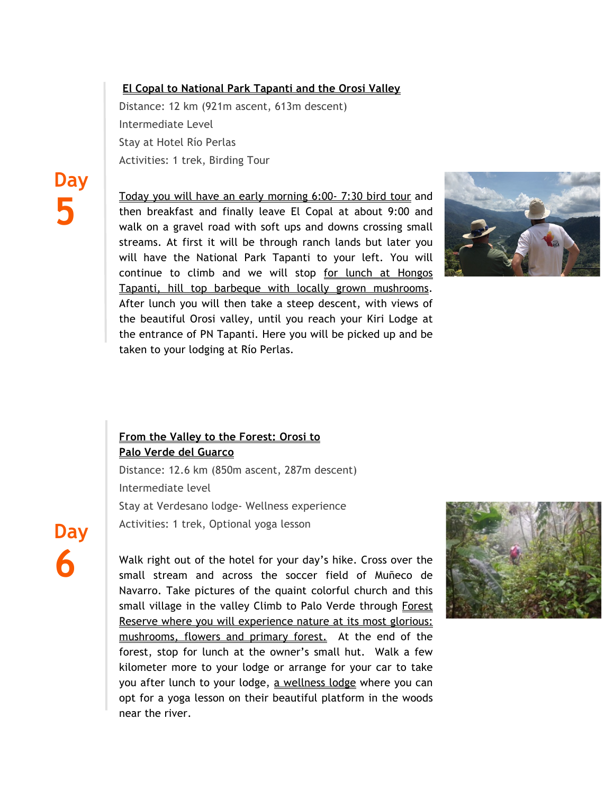## **El Copal to National Park Tapanti and the Orosi Valley**

Distance: 12 km (921m ascent, 613m descent) Intermediate Level Stay at Hotel Río Perlas Activities: 1 trek, Birding Tour

Today you will have an early morning 6:00- 7:30 bird tour and then breakfast and finally leave El Copal at about 9:00 and walk on a gravel road with soft ups and downs crossing small streams. At first it will be through ranch lands but later you will have the National Park Tapanti to your left. You will continue to climb and we will stop for lunch at Hongos Tapanti, hill top barbeque with locally grown mushrooms. After lunch you will then take a steep descent, with views of the beautiful Orosi valley, until you reach your Kiri Lodge at the entrance of PN Tapanti. Here you will be picked up and be taken to your lodging at Río Perlas.



# **From the Valley to the Forest: Orosi to Palo Verde del Guarco**

Distance: 12.6 km (850m ascent, 287m descent) Intermediate level Stay at Verdesano lodge- Wellness experience Activities: 1 trek, Optional yoga lesson

**Day 6**

**Day**

**5**

Walk right out of the hotel for your day's hike. Cross over the small stream and across the soccer field of Muñeco de Navarro. Take pictures of the quaint colorful church and this small village in the valley Climb to Palo Verde through Forest Reserve where you will experience nature at its most glorious: mushrooms, flowers and primary forest. At the end of the forest, stop for lunch at the owner's small hut. Walk a few kilometer more to your lodge or arrange for your car to take you after lunch to your lodge, a wellness lodge where you can opt for a yoga lesson on their beautiful platform in the woods near the river.